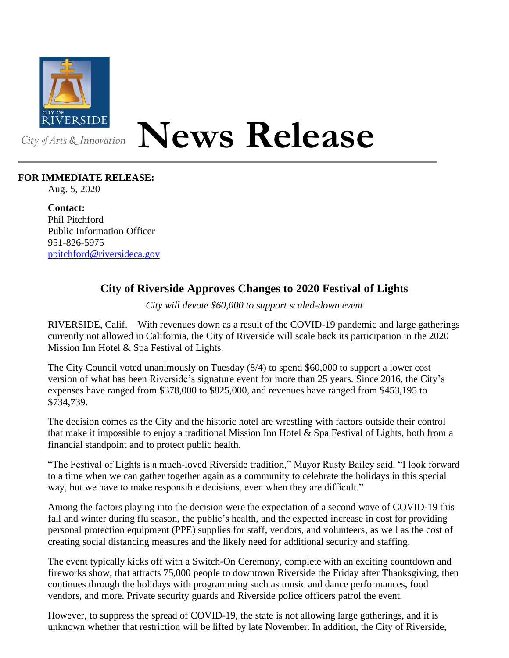

## **News Release**

## **FOR IMMEDIATE RELEASE:**

Aug. 5, 2020

**Contact:** Phil Pitchford Public Information Officer 951-826-5975 [ppitchford@riversideca.gov](mailto:ppitchford@riversideca.gov)

## **City of Riverside Approves Changes to 2020 Festival of Lights**

*City will devote \$60,000 to support scaled-down event*

RIVERSIDE, Calif. – With revenues down as a result of the COVID-19 pandemic and large gatherings currently not allowed in California, the City of Riverside will scale back its participation in the 2020 Mission Inn Hotel & Spa Festival of Lights.

The City Council voted unanimously on Tuesday (8/4) to spend \$60,000 to support a lower cost version of what has been Riverside's signature event for more than 25 years. Since 2016, the City's expenses have ranged from \$378,000 to \$825,000, and revenues have ranged from \$453,195 to \$734,739.

The decision comes as the City and the historic hotel are wrestling with factors outside their control that make it impossible to enjoy a traditional Mission Inn Hotel & Spa Festival of Lights, both from a financial standpoint and to protect public health.

"The Festival of Lights is a much-loved Riverside tradition," Mayor Rusty Bailey said. "I look forward to a time when we can gather together again as a community to celebrate the holidays in this special way, but we have to make responsible decisions, even when they are difficult."

Among the factors playing into the decision were the expectation of a second wave of COVID-19 this fall and winter during flu season, the public's health, and the expected increase in cost for providing personal protection equipment (PPE) supplies for staff, vendors, and volunteers, as well as the cost of creating social distancing measures and the likely need for additional security and staffing.

The event typically kicks off with a Switch-On Ceremony, complete with an exciting countdown and fireworks show, that attracts 75,000 people to downtown Riverside the Friday after Thanksgiving, then continues through the holidays with programming such as music and dance performances, food vendors, and more. Private security guards and Riverside police officers patrol the event.

However, to suppress the spread of COVID-19, the state is not allowing large gatherings, and it is unknown whether that restriction will be lifted by late November. In addition, the City of Riverside,